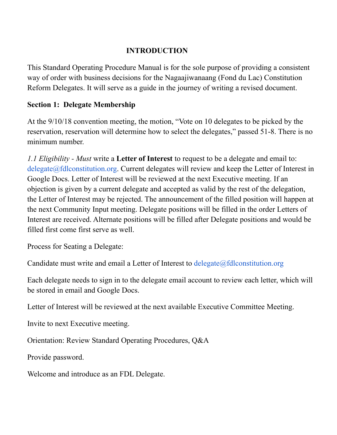### **INTRODUCTION**

This Standard Operating Procedure Manual is for the sole purpose of providing a consistent way of order with business decisions for the Nagaajiwanaang (Fond du Lac) Constitution Reform Delegates. It will serve as a guide in the journey of writing a revised document.

#### **Section 1: Delegate Membership**

At the 9/10/18 convention meeting, the motion, "Vote on 10 delegates to be picked by the reservation, reservation will determine how to select the delegates," passed 51-8. There is no minimum number.

*1.1 Eligibility - Must* write a **Letter of Interest** to request to be a delegate and email to: delegate@fdlconstitution.org. Current delegates will review and keep the Letter of Interest in Google Docs. Letter of Interest will be reviewed at the next Executive meeting. If an objection is given by a current delegate and accepted as valid by the rest of the delegation, the Letter of Interest may be rejected. The announcement of the filled position will happen at the next Community Input meeting. Delegate positions will be filled in the order Letters of Interest are received. Alternate positions will be filled after Delegate positions and would be filled first come first serve as well.

Process for Seating a Delegate:

Candidate must write and email a Letter of Interest to  $deleq$   $\partial f$ dlconstitution.org

Each delegate needs to sign in to the delegate email account to review each letter, which will be stored in email and Google Docs.

Letter of Interest will be reviewed at the next available Executive Committee Meeting.

Invite to next Executive meeting.

Orientation: Review Standard Operating Procedures, Q&A

Provide password.

Welcome and introduce as an FDL Delegate.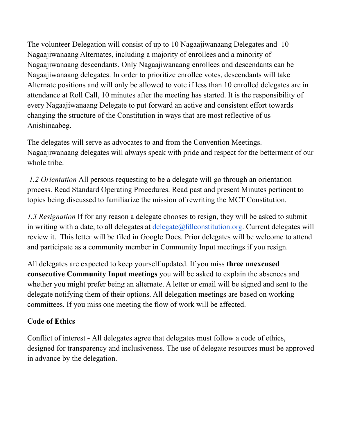The volunteer Delegation will consist of up to 10 Nagaajiwanaang Delegates and 10 Nagaajiwanaang Alternates, including a majority of enrollees and a minority of Nagaajiwanaang descendants. Only Nagaajiwanaang enrollees and descendants can be Nagaajiwanaang delegates. In order to prioritize enrollee votes, descendants will take Alternate positions and will only be allowed to vote if less than 10 enrolled delegates are in attendance at Roll Call, 10 minutes after the meeting has started. It is the responsibility of every Nagaajiwanaang Delegate to put forward an active and consistent effort towards changing the structure of the Constitution in ways that are most reflective of us Anishinaabeg.

The delegates will serve as advocates to and from the Convention Meetings. Nagaajiwanaang delegates will always speak with pride and respect for the betterment of our whole tribe.

*1.2 Orientation* All persons requesting to be a delegate will go through an orientation process. Read Standard Operating Procedures. Read past and present Minutes pertinent to topics being discussed to familiarize the mission of rewriting the MCT Constitution.

*1.3 Resignation* If for any reason a delegate chooses to resign, they will be asked to submit in writing with a date, to all delegates at  $delegate@fdlconstitution.org$ . Current delegates will review it. This letter will be filed in Google Docs. Prior delegates will be welcome to attend and participate as a community member in Community Input meetings if you resign.

All delegates are expected to keep yourself updated. If you miss **three unexcused consecutive Community Input meetings** you will be asked to explain the absences and whether you might prefer being an alternate. A letter or email will be signed and sent to the delegate notifying them of their options. All delegation meetings are based on working committees. If you miss one meeting the flow of work will be affected.

# **Code of Ethics**

Conflict of interest **-** All delegates agree that delegates must follow a code of ethics, designed for transparency and inclusiveness. The use of delegate resources must be approved in advance by the delegation.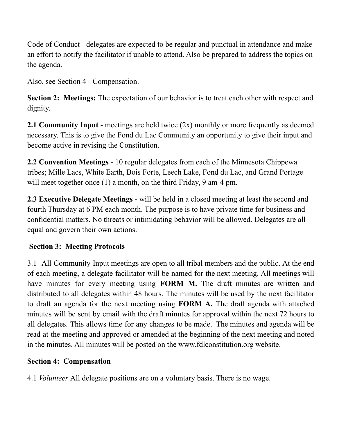Code of Conduct - delegates are expected to be regular and punctual in attendance and make an effort to notify the facilitator if unable to attend. Also be prepared to address the topics on the agenda.

Also, see Section 4 - Compensation.

**Section 2: Meetings:** The expectation of our behavior is to treat each other with respect and dignity.

**2.1 Community Input** - meetings are held twice (2x) monthly or more frequently as deemed necessary. This is to give the Fond du Lac Community an opportunity to give their input and become active in revising the Constitution.

**2.2 Convention Meetings** - 10 regular delegates from each of the Minnesota Chippewa tribes; Mille Lacs, White Earth, Bois Forte, Leech Lake, Fond du Lac, and Grand Portage will meet together once (1) a month, on the third Friday, 9 am-4 pm.

**2.3 Executive Delegate Meetings -** will be held in a closed meeting at least the second and fourth Thursday at 6 PM each month. The purpose is to have private time for business and confidential matters. No threats or intimidating behavior will be allowed. Delegates are all equal and govern their own actions.

# **Section 3: Meeting Protocols**

3.1 All Community Input meetings are open to all tribal members and the public. At the end of each meeting, a delegate facilitator will be named for the next meeting. All meetings will have minutes for every meeting using **FORM M.** The draft minutes are written and distributed to all delegates within 48 hours. The minutes will be used by the next facilitator to draft an agenda for the next meeting using **FORM A.** The draft agenda with attached minutes will be sent by email with the draft minutes for approval within the next 72 hours to all delegates. This allows time for any changes to be made. The minutes and agenda will be read at the meeting and approved or amended at the beginning of the next meeting and noted in the minutes. All minutes will be posted on the www.fdlconstitution.org website.

### **Section 4: Compensation**

4.1 *Volunteer* All delegate positions are on a voluntary basis. There is no wage.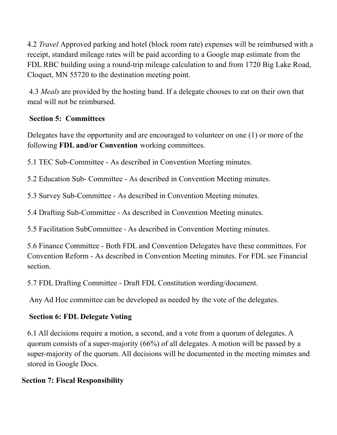4.2 *Travel* Approved parking and hotel (block room rate) expenses will be reimbursed with a receipt, standard mileage rates will be paid according to a Google map estimate from the FDL RBC building using a round-trip mileage calculation to and from 1720 Big Lake Road, Cloquet, MN 55720 to the destination meeting point.

4.3 *Meals* are provided by the hosting band. If a delegate chooses to eat on their own that meal will not be reimbursed.

### **Section 5: Committees**

Delegates have the opportunity and are encouraged to volunteer on one (1) or more of the following **FDL and/or Convention** working committees.

5.1 TEC Sub-Committee - As described in Convention Meeting minutes.

5.2 Education Sub- Committee - As described in Convention Meeting minutes.

5.3 Survey Sub-Committee - As described in Convention Meeting minutes.

5.4 Drafting Sub-Committee - As described in Convention Meeting minutes.

5.5 Facilitation SubCommittee - As described in Convention Meeting minutes.

5.6 Finance Committee - Both FDL and Convention Delegates have these committees. For Convention Reform - As described in Convention Meeting minutes. For FDL see Financial section.

5.7 FDL Drafting Committee - Draft FDL Constitution wording/document.

Any Ad Hoc committee can be developed as needed by the vote of the delegates.

# **Section 6: FDL Delegate Voting**

6.1 All decisions require a motion, a second, and a vote from a quorum of delegates. A quorum consists of a super-majority (66%) of all delegates. A motion will be passed by a super-majority of the quorum. All decisions will be documented in the meeting minutes and stored in Google Docs.

# **Section 7: Fiscal Responsibility**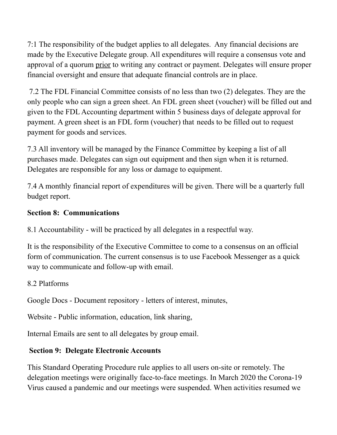7:1 The responsibility of the budget applies to all delegates. Any financial decisions are made by the Executive Delegate group. All expenditures will require a consensus vote and approval of a quorum prior to writing any contract or payment. Delegates will ensure proper financial oversight and ensure that adequate financial controls are in place.

7.2 The FDL Financial Committee consists of no less than two (2) delegates. They are the only people who can sign a green sheet. An FDL green sheet (voucher) will be filled out and given to the FDL Accounting department within 5 business days of delegate approval for payment. A green sheet is an FDL form (voucher) that needs to be filled out to request payment for goods and services.

7.3 All inventory will be managed by the Finance Committee by keeping a list of all purchases made. Delegates can sign out equipment and then sign when it is returned. Delegates are responsible for any loss or damage to equipment.

7.4 A monthly financial report of expenditures will be given. There will be a quarterly full budget report.

#### **Section 8: Communications**

8.1 Accountability - will be practiced by all delegates in a respectful way.

It is the responsibility of the Executive Committee to come to a consensus on an official form of communication. The current consensus is to use Facebook Messenger as a quick way to communicate and follow-up with email.

#### 8.2 Platforms

Google Docs - Document repository - letters of interest, minutes,

Website - Public information, education, link sharing,

Internal Emails are sent to all delegates by group email.

#### **Section 9: Delegate Electronic Accounts**

This Standard Operating Procedure rule applies to all users on-site or remotely. The delegation meetings were originally face-to-face meetings. In March 2020 the Corona-19 Virus caused a pandemic and our meetings were suspended. When activities resumed we